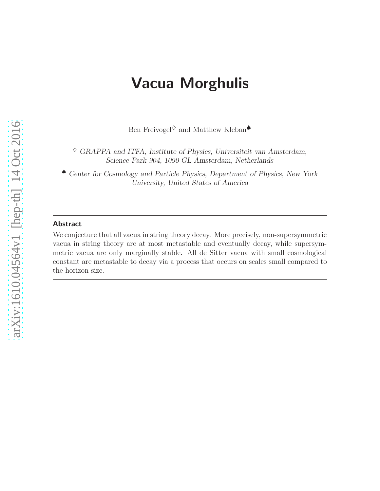# Vacua Morghulis

Ben Freivogel $\diamond$  and Matthew Kleban $\spadesuit$ 

 $\diamond$  GRAPPA and ITFA, Institute of Physics, Universiteit van Amsterdam, Science Park 904, 1090 GL Amsterdam, Netherlands

♠ Center for Cosmology and Particle Physics, Department of Physics, New York University, United States of America

#### Abstract

We conjecture that all vacua in string theory decay. More precisely, non-supersymmetric vacua in string theory are at most metastable and eventually decay, while supersymmetric vacua are only marginally stable. All de Sitter vacua with small cosmological constant are metastable to decay via a process that occurs on scales small compared to the horizon size.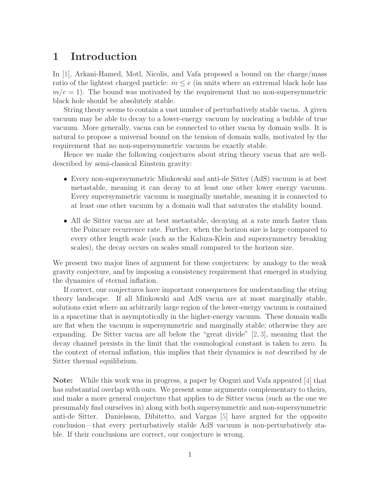#### 1 Introduction

In [\[1\]](#page-8-0), Arkani-Hamed, Motl, Nicolis, and Vafa proposed a bound on the charge/mass ratio of the lightest charged particle:  $m \leq e$  (in units where an extremal black hole has  $m/e = 1$ ). The bound was motivated by the requirement that no non-supersymmetric black hole should be absolutely stable.

String theory seems to contain a vast number of perturbatively stable vacua. A given vacuum may be able to decay to a lower-energy vacuum by nucleating a bubble of true vacuum. More generally, vacua can be connected to other vacua by domain walls. It is natural to propose a universal bound on the tension of domain walls, motivated by the requirement that no non-supersymmetric vacuum be exactly stable.

Hence we make the following conjectures about string theory vacua that are welldescribed by semi-classical Einstein gravity:

- Every non-supersymmetric Minkowski and anti-de Sitter (AdS) vacuum is at best metastable, meaning it can decay to at least one other lower energy vacuum. Every supersymmetric vacuum is marginally unstable, meaning it is connected to at least one other vacuum by a domain wall that saturates the stability bound.
- All de Sitter vacua are at best metastable, decaying at a rate much faster than the Poincare recurrence rate. Further, when the horizon size is large compared to every other length scale (such as the Kaluza-Klein and supersymmetry breaking scales), the decay occurs on scales small compared to the horizon size.

We present two major lines of argument for these conjectures: by analogy to the weak gravity conjecture, and by imposing a consistency requirement that emerged in studying the dynamics of eternal inflation.

If correct, our conjectures have important consequences for understanding the string theory landscape. If all Minkowski and AdS vacua are at most marginally stable, solutions exist where an arbitrarily large region of the lower-energy vacuum is contained in a spacetime that is asymptotically in the higher-energy vacuum. These domain walls are flat when the vacuum is supersymmetric and marginally stable; otherwise they are expanding. De Sitter vacua are all below the "great divide" [\[2,](#page-8-1) [3\]](#page-8-2), meaning that the decay channel persists in the limit that the cosmological constant is taken to zero. In the context of eternal inflation, this implies that their dynamics is not described by de Sitter thermal equilibrium.

Note: While this work was in progress, a paper by Ooguri and Vafa appeared [\[4\]](#page-9-0) that has substantial overlap with ours. We present some arguments complementary to theirs, and make a more general conjecture that applies to de Sitter vacua (such as the one we presumably find ourselves in) along with both supersymmetric and non-supersymmetric anti-de Sitter. Danielsson, Dibitetto, and Vargas [\[5\]](#page-9-1) have argued for the opposite conclusion—that every perturbatively stable AdS vacuum is non-perturbatively stable. If their conclusions are correct, our conjecture is wrong.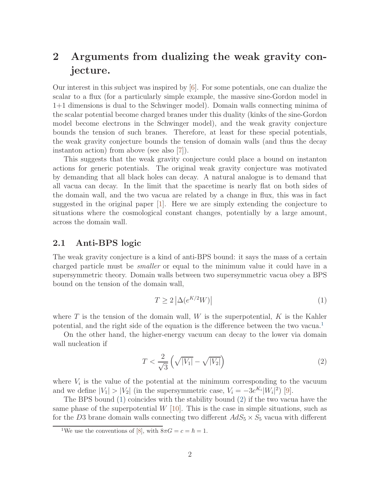## 2 Arguments from dualizing the weak gravity conjecture.

Our interest in this subject was inspired by [\[6\]](#page-9-2). For some potentials, one can dualize the scalar to a flux (for a particularly simple example, the massive sine-Gordon model in 1+1 dimensions is dual to the Schwinger model). Domain walls connecting minima of the scalar potential become charged branes under this duality (kinks of the sine-Gordon model become electrons in the Schwinger model), and the weak gravity conjecture bounds the tension of such branes. Therefore, at least for these special potentials, the weak gravity conjecture bounds the tension of domain walls (and thus the decay instanton action) from above (see also [\[7\]](#page-9-3)).

This suggests that the weak gravity conjecture could place a bound on instanton actions for generic potentials. The original weak gravity conjecture was motivated by demanding that all black holes can decay. A natural analogue is to demand that all vacua can decay. In the limit that the spacetime is nearly flat on both sides of the domain wall, and the two vacua are related by a change in flux, this was in fact suggested in the original paper [\[1\]](#page-8-0). Here we are simply extending the conjecture to situations where the cosmological constant changes, potentially by a large amount, across the domain wall.

#### 2.1 Anti-BPS logic

The weak gravity conjecture is a kind of anti-BPS bound: it says the mass of a certain charged particle must be smaller or equal to the minimum value it could have in a supersymmetric theory. Domain walls between two supersymmetric vacua obey a BPS bound on the tension of the domain wall,

<span id="page-2-1"></span>
$$
T \ge 2\left|\Delta(e^{K/2}W)\right| \tag{1}
$$

where  $T$  is the tension of the domain wall,  $W$  is the superpotential,  $K$  is the Kahler potential, and the right side of the equation is the difference between the two vacua.<sup>[1](#page-2-0)</sup>

On the other hand, the higher-energy vacuum can decay to the lower via domain wall nucleation if

<span id="page-2-2"></span>
$$
T < \frac{2}{\sqrt{3}} \left( \sqrt{|V_1|} - \sqrt{|V_2|} \right) \tag{2}
$$

where  $V_i$  is the value of the potential at the minimum corresponding to the vacuum and we define  $|V_1| > |V_2|$  (in the supersymmetric case,  $V_i = -3e^{K_i}|W_i|^2$ ) [\[9\]](#page-9-4).

The BPS bound [\(1\)](#page-2-1) coincides with the stability bound [\(2\)](#page-2-2) if the two vacua have the same phase of the superpotential  $W$  [\[10\]](#page-9-5). This is the case in simple situations, such as for the D3 brane domain walls connecting two different  $AdS_5 \times S_5$  vacua with different

<span id="page-2-0"></span><sup>&</sup>lt;sup>1</sup>We use the conventions of [\[8\]](#page-9-6), with  $8\pi G = c = \hbar = 1$ .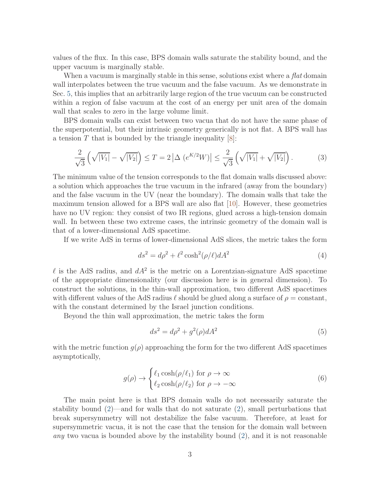values of the flux. In this case, BPS domain walls saturate the stability bound, and the upper vacuum is marginally stable.

When a vacuum is marginally stable in this sense, solutions exist where a *flat* domain wall interpolates between the true vacuum and the false vacuum. As we demonstrate in Sec. [5,](#page-6-0) this implies that an arbitrarily large region of the true vacuum can be constructed within a region of false vacuum at the cost of an energy per unit area of the domain wall that scales to zero in the large volume limit.

BPS domain walls can exist between two vacua that do not have the same phase of the superpotential, but their intrinsic geometry generically is not flat. A BPS wall has a tension T that is bounded by the triangle inequality  $[8]$ :

$$
\frac{2}{\sqrt{3}}\left(\sqrt{|V_1|} - \sqrt{|V_2|}\right) \le T = 2\left|\Delta\left(e^{K/2}W\right)\right| \le \frac{2}{\sqrt{3}}\left(\sqrt{|V_1|} + \sqrt{|V_2|}\right). \tag{3}
$$

The minimum value of the tension corresponds to the flat domain walls discussed above: a solution which approaches the true vacuum in the infrared (away from the boundary) and the false vacuum in the UV (near the boundary). The domain walls that take the maximum tension allowed for a BPS wall are also flat [\[10\]](#page-9-5). However, these geometries have no UV region: they consist of two IR regions, glued across a high-tension domain wall. In between these two extreme cases, the intrinsic geometry of the domain wall is that of a lower-dimensional AdS spacetime.

If we write AdS in terms of lower-dimensional AdS slices, the metric takes the form

$$
ds^2 = d\rho^2 + \ell^2 \cosh^2(\rho/\ell) dA^2 \tag{4}
$$

 $\ell$  is the AdS radius, and  $dA^2$  is the metric on a Lorentzian-signature AdS spacetime of the appropriate dimensionality (our discussion here is in general dimension). To construct the solutions, in the thin-wall approximation, two different AdS spacetimes with different values of the AdS radius  $\ell$  should be glued along a surface of  $\rho = constant$ , with the constant determined by the Israel junction conditions.

Beyond the thin wall approximation, the metric takes the form

$$
ds^2 = d\rho^2 + g^2(\rho)dA^2\tag{5}
$$

with the metric function  $q(\rho)$  approaching the form for the two different AdS spacetimes asymptotically,

$$
g(\rho) \to \begin{cases} \ell_1 \cosh(\rho/\ell_1) & \text{for } \rho \to \infty \\ \ell_2 \cosh(\rho/\ell_2) & \text{for } \rho \to -\infty \end{cases}
$$
 (6)

The main point here is that BPS domain walls do not necessarily saturate the stability bound  $(2)$ —and for walls that do not saturate  $(2)$ , small perturbations that break supersymmetry will not destabilize the false vacuum. Therefore, at least for supersymmetric vacua, it is not the case that the tension for the domain wall between any two vacua is bounded above by the instability bound [\(2\)](#page-2-2), and it is not reasonable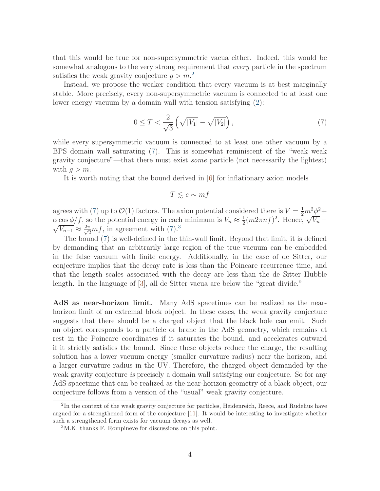that this would be true for non-supersymmetric vacua either. Indeed, this would be somewhat analogous to the very strong requirement that every particle in the spectrum satisfies the weak gravity conjecture  $g > m<sup>2</sup>$  $g > m<sup>2</sup>$  $g > m<sup>2</sup>$ .

Instead, we propose the weaker condition that every vacuum is at best marginally stable. More precisely, every non-supersymmetric vacuum is connected to at least one lower energy vacuum by a domain wall with tension satisfying [\(2\)](#page-2-2):

<span id="page-4-1"></span>
$$
0 \le T < \frac{2}{\sqrt{3}} \left( \sqrt{|V_1|} - \sqrt{|V_2|} \right),\tag{7}
$$

while every supersymmetric vacuum is connected to at least one other vacuum by a BPS domain wall saturating [\(7\)](#page-4-1). This is somewhat reminiscent of the "weak weak gravity conjecture"—that there must exist some particle (not necessarily the lightest) with  $q > m$ .

It is worth noting that the bound derived in [\[6\]](#page-9-2) for inflationary axion models

$$
T \lesssim e \sim mf
$$

agrees with [\(7\)](#page-4-1) up to  $\mathcal{O}(1)$  factors. The axion potential considered there is  $V = \frac{1}{2}m^2\phi^2 +$  $\alpha \cos \phi / f$ , so the potential energy in each minimum is  $V_n \approx \frac{1}{2}$  $\alpha \cos \phi/f$ , so the potential energy in each minimum is  $V_n \approx \frac{1}{2}(m2\pi n f)^2$ . Hence,  $\sqrt{V_n} - \sqrt{V_n} \approx \frac{2\pi m}{n} f$  in agreement with (7) 3  $\overline{V_{n-1}} \approx \frac{2\pi}{\sqrt{2}} mf$ , in agreement with [\(7\)](#page-4-1).<sup>[3](#page-4-2)</sup>

The bound [\(7\)](#page-4-1) is well-defined in the thin-wall limit. Beyond that limit, it is defined by demanding that an arbitrarily large region of the true vacuum can be embedded in the false vacuum with finite energy. Additionally, in the case of de Sitter, our conjecture implies that the decay rate is less than the Poincare recurrence time, and that the length scales associated with the decay are less than the de Sitter Hubble length. In the language of [\[3\]](#page-8-2), all de Sitter vacua are below the "great divide."

AdS as near-horizon limit. Many AdS spacetimes can be realized as the nearhorizon limit of an extremal black object. In these cases, the weak gravity conjecture suggests that there should be a charged object that the black hole can emit. Such an object corresponds to a particle or brane in the AdS geometry, which remains at rest in the Poincare coordinates if it saturates the bound, and accelerates outward if it strictly satisfies the bound. Since these objects reduce the charge, the resulting solution has a lower vacuum energy (smaller curvature radius) near the horizon, and a larger curvature radius in the UV. Therefore, the charged object demanded by the weak gravity conjecture *is* precisely a domain wall satisfying our conjecture. So for any AdS spacetime that can be realized as the near-horizon geometry of a black object, our conjecture follows from a version of the "usual" weak gravity conjecture.

<span id="page-4-0"></span><sup>&</sup>lt;sup>2</sup>In the context of the weak gravity conjecture for particles, Heidenreich, Reece, and Rudelius have argued for a strengthened form of the conjecture [\[11\]](#page-9-7). It would be interesting to investigate whether such a strengthened form exists for vacuum decays as well.

<span id="page-4-2"></span><sup>3</sup>M.K. thanks F. Rompineve for discussions on this point.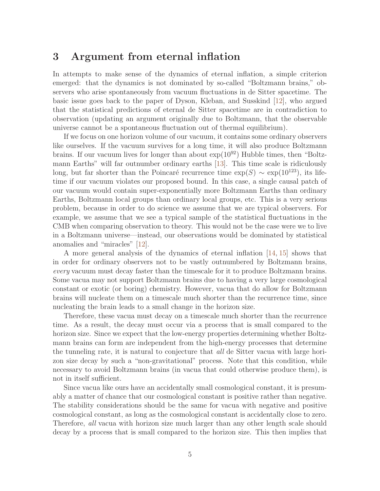#### 3 Argument from eternal inflation

In attempts to make sense of the dynamics of eternal inflation, a simple criterion emerged: that the dynamics is not dominated by so-called "Boltzmann brains," observers who arise spontaneously from vacuum fluctuations in de Sitter spacetime. The basic issue goes back to the paper of Dyson, Kleban, and Susskind [\[12\]](#page-9-8), who argued that the statistical predictions of eternal de Sitter spacetime are in contradiction to observation (updating an argument originally due to Boltzmann, that the observable universe cannot be a spontaneous fluctuation out of thermal equilibrium).

If we focus on one horizon volume of our vacuum, it contains some ordinary observers like ourselves. If the vacuum survives for a long time, it will also produce Boltzmann brains. If our vacuum lives for longer than about  $\exp(10^{92})$  Hubble times, then "Boltzmann Earths" will far outnumber ordinary earths [\[13\]](#page-9-9). This time scale is ridiculously long, but far shorter than the Poincaré recurrence time  $\exp(S) \sim \exp(10^{123})$ , its lifetime if our vacuum violates our proposed bound. In this case, a single causal patch of our vacuum would contain super-exponentially more Boltzmann Earths than ordinary Earths, Boltzmann local groups than ordinary local groups, etc. This is a very serious problem, because in order to do science we assume that we are typical observers. For example, we assume that we see a typical sample of the statistical fluctuations in the CMB when comparing observation to theory. This would not be the case were we to live in a Boltzmann universe—instead, our observations would be dominated by statistical anomalies and "miracles" [\[12\]](#page-9-8).

A more general analysis of the dynamics of eternal inflation [\[14,](#page-9-10) [15\]](#page-9-11) shows that in order for ordinary observers not to be vastly outnumbered by Boltzmann brains, every vacuum must decay faster than the timescale for it to produce Boltzmann brains. Some vacua may not support Boltzmann brains due to having a very large cosmological constant or exotic (or boring) chemistry. However, vacua that do allow for Boltzmann brains will nucleate them on a timescale much shorter than the recurrence time, since nucleating the brain leads to a small change in the horizon size.

Therefore, these vacua must decay on a timescale much shorter than the recurrence time. As a result, the decay must occur via a process that is small compared to the horizon size. Since we expect that the low-energy properties determining whether Boltzmann brains can form are independent from the high-energy processes that determine the tunneling rate, it is natural to conjecture that all de Sitter vacua with large horizon size decay by such a "non-gravitational" process. Note that this condition, while necessary to avoid Boltzmann brains (in vacua that could otherwise produce them), is not in itself sufficient.

Since vacua like ours have an accidentally small cosmological constant, it is presumably a matter of chance that our cosmological constant is positive rather than negative. The stability considerations should be the same for vacua with negative and positive cosmological constant, as long as the cosmological constant is accidentally close to zero. Therefore, all vacua with horizon size much larger than any other length scale should decay by a process that is small compared to the horizon size. This then implies that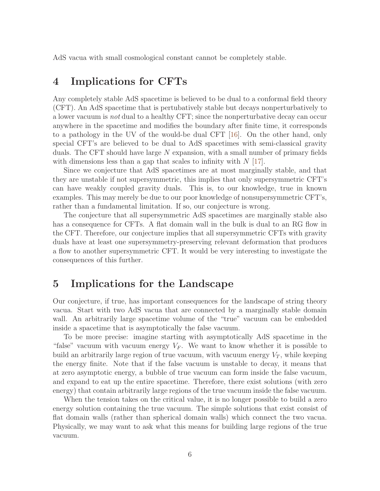AdS vacua with small cosmological constant cannot be completely stable.

#### 4 Implications for CFTs

Any completely stable AdS spacetime is believed to be dual to a conformal field theory (CFT). An AdS spacetime that is pertubatively stable but decays nonperturbatively to a lower vacuum is not dual to a healthy CFT; since the nonperturbative decay can occur anywhere in the spacetime and modifies the boundary after finite time, it corresponds to a pathology in the UV of the would-be dual CFT [\[16\]](#page-9-12). On the other hand, only special CFT's are believed to be dual to AdS spacetimes with semi-classical gravity duals. The CFT should have large N expansion, with a small number of primary fields with dimensions less than a gap that scales to infinity with  $N$  [\[17\]](#page-9-13).

Since we conjecture that AdS spacetimes are at most marginally stable, and that they are unstable if not supersymmetric, this implies that only supersymmetric CFT's can have weakly coupled gravity duals. This is, to our knowledge, true in known examples. This may merely be due to our poor knowledge of nonsupersymmetric CFT's, rather than a fundamental limitation. If so, our conjecture is wrong.

The conjecture that all supersymmetric AdS spacetimes are marginally stable also has a consequence for CFTs. A flat domain wall in the bulk is dual to an RG flow in the CFT. Therefore, our conjecture implies that all supersymmetric CFTs with gravity duals have at least one supersymmetry-preserving relevant deformation that produces a flow to another supersymmetric CFT. It would be very interesting to investigate the consequences of this further.

#### <span id="page-6-0"></span>5 Implications for the Landscape

Our conjecture, if true, has important consequences for the landscape of string theory vacua. Start with two AdS vacua that are connected by a marginally stable domain wall. An arbitrarily large spacetime volume of the "true" vacuum can be embedded inside a spacetime that is asymptotically the false vacuum.

To be more precise: imagine starting with asymptotically AdS spacetime in the "false" vacuum with vacuum energy  $V_F$ . We want to know whether it is possible to build an arbitrarily large region of true vacuum, with vacuum energy  $V_T$ , while keeping the energy finite. Note that if the false vacuum is unstable to decay, it means that at zero asymptotic energy, a bubble of true vacuum can form inside the false vacuum, and expand to eat up the entire spacetime. Therefore, there exist solutions (with zero energy) that contain arbitrarily large regions of the true vacuum inside the false vacuum.

When the tension takes on the critical value, it is no longer possible to build a zero energy solution containing the true vacuum. The simple solutions that exist consist of flat domain walls (rather than spherical domain walls) which connect the two vacua. Physically, we may want to ask what this means for building large regions of the true vacuum.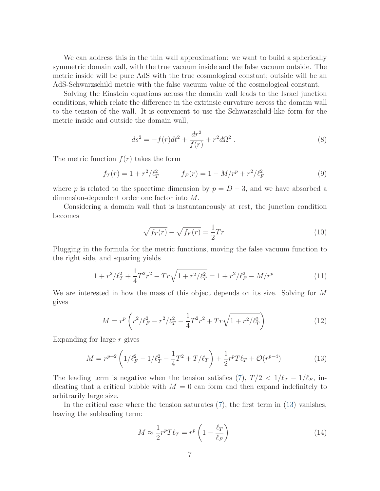We can address this in the thin wall approximation: we want to build a spherically symmetric domain wall, with the true vacuum inside and the false vacuum outside. The metric inside will be pure AdS with the true cosmological constant; outside will be an AdS-Schwarzschild metric with the false vacuum value of the cosmological constant.

Solving the Einstein equations across the domain wall leads to the Israel junction conditions, which relate the difference in the extrinsic curvature across the domain wall to the tension of the wall. It is convenient to use the Schwarzschild-like form for the metric inside and outside the domain wall,

$$
ds^{2} = -f(r)dt^{2} + \frac{dr^{2}}{f(r)} + r^{2}d\Omega^{2} .
$$
 (8)

The metric function  $f(r)$  takes the form

$$
f_T(r) = 1 + r^2/\ell_T^2 \qquad f_F(r) = 1 - M/r^p + r^2/\ell_F^2 \qquad (9)
$$

where p is related to the spacetime dimension by  $p = D - 3$ , and we have absorbed a dimension-dependent order one factor into M.

Considering a domain wall that is instantaneously at rest, the junction condition becomes

$$
\sqrt{f_T(r)} - \sqrt{f_F(r)} = \frac{1}{2}Tr\tag{10}
$$

Plugging in the formula for the metric functions, moving the false vacuum function to the right side, and squaring yields

$$
1 + r^2/\ell_T^2 + \frac{1}{4}T^2r^2 - Tr\sqrt{1 + r^2/\ell_T^2} = 1 + r^2/\ell_F^2 - M/r^p \tag{11}
$$

We are interested in how the mass of this object depends on its size. Solving for M gives

$$
M = r^p \left( r^2 / \ell_F^2 - r^2 / \ell_T^2 - \frac{1}{4} T^2 r^2 + T r \sqrt{1 + r^2 / \ell_T^2} \right) \tag{12}
$$

Expanding for large r gives

<span id="page-7-0"></span>
$$
M = r^{p+2} \left( 1/\ell_F^2 - 1/\ell_T^2 - \frac{1}{4} T^2 + T/\ell_T \right) + \frac{1}{2} r^p T \ell_T + \mathcal{O}(r^{p-4}) \tag{13}
$$

The leading term is negative when the tension satisfies [\(7\)](#page-4-1),  $T/2 < 1/\ell_T - 1/\ell_F$ , indicating that a critical bubble with  $M = 0$  can form and then expand indefinitely to arbitrarily large size.

In the critical case where the tension saturates [\(7\)](#page-4-1), the first term in [\(13\)](#page-7-0) vanishes, leaving the subleading term:

$$
M \approx \frac{1}{2} r^p T \ell_T = r^p \left( 1 - \frac{\ell_T}{\ell_F} \right) \tag{14}
$$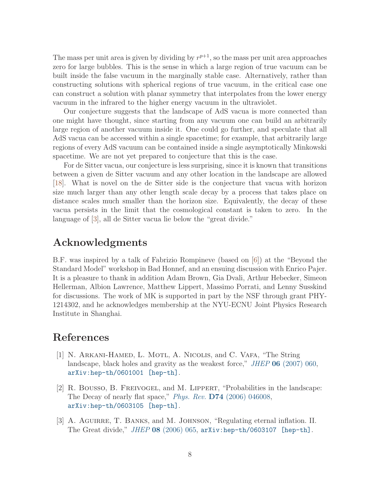The mass per unit area is given by dividing by  $r^{p+1}$ , so the mass per unit area approaches zero for large bubbles. This is the sense in which a large region of true vacuum can be built inside the false vacuum in the marginally stable case. Alternatively, rather than constructing solutions with spherical regions of true vacuum, in the critical case one can construct a solution with planar symmetry that interpolates from the lower energy vacuum in the infrared to the higher energy vacuum in the ultraviolet.

Our conjecture suggests that the landscape of AdS vacua is more connected than one might have thought, since starting from any vacuum one can build an arbitrarily large region of another vacuum inside it. One could go further, and speculate that all AdS vacua can be accessed within a single spacetime; for example, that arbitrarily large regions of every AdS vacuum can be contained inside a single asymptotically Minkowski spacetime. We are not yet prepared to conjecture that this is the case.

For de Sitter vacua, our conjecture is less surprising, since it is known that transitions between a given de Sitter vacuum and any other location in the landscape are allowed [\[18\]](#page-10-0). What is novel on the de Sitter side is the conjecture that vacua with horizon size much larger than any other length scale decay by a process that takes place on distance scales much smaller than the horizon size. Equivalently, the decay of these vacua persists in the limit that the cosmological constant is taken to zero. In the language of [\[3\]](#page-8-2), all de Sitter vacua lie below the "great divide."

### Acknowledgments

B.F. was inspired by a talk of Fabrizio Rompineve (based on [\[6\]](#page-9-2)) at the "Beyond the Standard Model" workshop in Bad Honnef, and an ensuing discussion with Enrico Pajer. It is a pleasure to thank in addition Adam Brown, Gia Dvali, Arthur Hebecker, Simeon Hellerman, Albion Lawrence, Matthew Lippert, Massimo Porrati, and Lenny Susskind for discussions. The work of MK is supported in part by the NSF through grant PHY-1214302, and he acknowledges membership at the NYU-ECNU Joint Physics Research Institute in Shanghai.

### <span id="page-8-0"></span>References

- [1] N. ARKANI-HAMED, L. MOTL, A. NICOLIS, and C. VAFA, "The String landscape, black holes and gravity as the weakest force," JHEP 06 [\(2007\) 060,](http://dx.doi.org/10.1088/1126-6708/2007/06/060) [arXiv:hep-th/0601001 \[hep-th\]](http://arxiv.org/abs/hep-th/0601001).
- <span id="page-8-1"></span>[2] R. Bousso, B. Freivogel, and M. Lippert, "Probabilities in the landscape: The Decay of nearly flat space," *Phys. Rev.* **D74** [\(2006\) 046008,](http://dx.doi.org/10.1103/PhysRevD.74.046008) [arXiv:hep-th/0603105 \[hep-th\]](http://arxiv.org/abs/hep-th/0603105).
- <span id="page-8-2"></span>[3] A. AGUIRRE, T. BANKS, and M. JOHNSON, "Regulating eternal inflation. II. The Great divide," JHEP 08 [\(2006\) 065,](http://dx.doi.org/10.1088/1126-6708/2006/08/065) [arXiv:hep-th/0603107 \[hep-th\]](http://arxiv.org/abs/hep-th/0603107).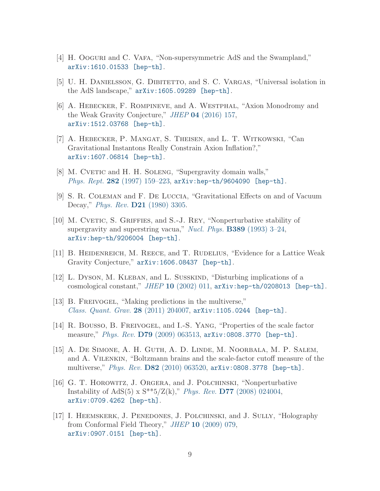- <span id="page-9-1"></span><span id="page-9-0"></span>[4] H. Ooguri and C. VAFA, "Non-supersymmetric AdS and the Swampland," [arXiv:1610.01533 \[hep-th\]](http://arxiv.org/abs/1610.01533).
- <span id="page-9-2"></span>[5] U. H. DANIELSSON, G. DIBITETTO, and S. C. VARGAS, "Universal isolation in the AdS landscape," [arXiv:1605.09289 \[hep-th\]](http://arxiv.org/abs/1605.09289).
- [6] A. Hebecker, F. Rompineve, and A. Westphal, "Axion Monodromy and the Weak Gravity Conjecture," JHEP 04 [\(2016\) 157,](http://dx.doi.org/10.1007/JHEP04(2016)157) [arXiv:1512.03768 \[hep-th\]](http://arxiv.org/abs/1512.03768).
- <span id="page-9-3"></span>[7] A. Hebecker, P. Mangat, S. Theisen, and L. T. Witkowski, "Can Gravitational Instantons Really Constrain Axion Inflation?," [arXiv:1607.06814 \[hep-th\]](http://arxiv.org/abs/1607.06814).
- <span id="page-9-6"></span><span id="page-9-4"></span>[8] M. CVETIC and H. H. SOLENG, "Supergravity domain walls," Phys. Rept. 282 (1997) 159-223, [arXiv:hep-th/9604090 \[hep-th\]](http://arxiv.org/abs/hep-th/9604090).
- <span id="page-9-5"></span>[9] S. R. Coleman and F. De Luccia, "Gravitational Effects on and of Vacuum Decay," Phys. Rev. D21 [\(1980\) 3305.](http://dx.doi.org/10.1103/PhysRevD.21.3305)
- [10] M. CVETIC, S. GRIFFIES, and S.-J. REY, "Nonperturbative stability of supergravity and superstring vacua," Nucl. Phys. B389 [\(1993\) 3–24,](http://dx.doi.org/10.1016/0550-3213(93)90283-U) [arXiv:hep-th/9206004 \[hep-th\]](http://arxiv.org/abs/hep-th/9206004).
- <span id="page-9-8"></span><span id="page-9-7"></span>[11] B. Heidenreich, M. Reece, and T. Rudelius, "Evidence for a Lattice Weak Gravity Conjecture," [arXiv:1606.08437 \[hep-th\]](http://arxiv.org/abs/1606.08437).
- [12] L. Dyson, M. Kleban, and L. Susskind, "Disturbing implications of a cosmological constant," JHEP 10 [\(2002\) 011,](http://dx.doi.org/10.1088/1126-6708/2002/10/011) [arXiv:hep-th/0208013 \[hep-th\]](http://arxiv.org/abs/hep-th/0208013).
- <span id="page-9-9"></span>[13] B. FREIVOGEL, "Making predictions in the multiverse," *[Class. Quant. Grav.](http://dx.doi.org/10.1088/0264-9381/28/20/204007)* 28 (2011) 204007,  $arXiv:1105.0244$  [hep-th].
- <span id="page-9-10"></span>[14] R. Bousso, B. Freivogel, and I.-S. Yang, "Properties of the scale factor measure," Phys. Rev. D79 [\(2009\) 063513,](http://dx.doi.org/10.1103/PhysRevD.79.063513) [arXiv:0808.3770 \[hep-th\]](http://arxiv.org/abs/0808.3770).
- <span id="page-9-11"></span>[15] A. De Simone, A. H. Guth, A. D. Linde, M. Noorbala, M. P. Salem, and A. Vilenkin, "Boltzmann brains and the scale-factor cutoff measure of the multiverse," Phys. Rev. D82 [\(2010\) 063520,](http://dx.doi.org/10.1103/PhysRevD.82.063520) [arXiv:0808.3778 \[hep-th\]](http://arxiv.org/abs/0808.3778).
- <span id="page-9-12"></span>[16] G. T. Horowitz, J. Orgera, and J. Polchinski, "Nonperturbative Instability of AdS(5) x  $S^{**}5/Z(k)$ ," Phys. Rev. **D77** [\(2008\) 024004,](http://dx.doi.org/10.1103/PhysRevD.77.024004) [arXiv:0709.4262 \[hep-th\]](http://arxiv.org/abs/0709.4262).
- <span id="page-9-13"></span>[17] I. HEEMSKERK, J. PENEDONES, J. POLCHINSKI, and J. SULLY, "Holography" from Conformal Field Theory," JHEP 10 [\(2009\) 079,](http://dx.doi.org/10.1088/1126-6708/2009/10/079) [arXiv:0907.0151 \[hep-th\]](http://arxiv.org/abs/0907.0151).